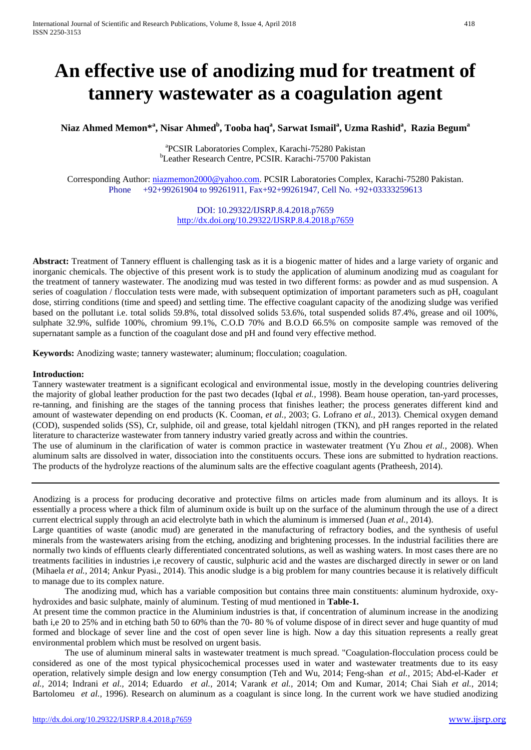# **An effective use of anodizing mud for treatment of tannery wastewater as a coagulation agent**

# **Niaz Ahmed Memon\*<sup>a</sup> , Nisar Ahmed<sup>b</sup> , Tooba haq<sup>a</sup> , Sarwat Ismail<sup>a</sup> , Uzma Rashid<sup>a</sup> , Razia Beguma**

<sup>a</sup> PCSIR Laboratories Complex, Karachi-75280 Pakistan<br><sup>b</sup>Lesther Besearch Centre, PCSIB, Karachi, 75700 Pakista Leather Research Centre, PCSIR. Karachi-75700 Pakistan

Corresponding Author: [niazmemon2000@yahoo.com.](mailto:niazmemon2000@yahoo.com) PCSIR Laboratories Complex, Karachi-75280 Pakistan. Phone +92+99261904 to 99261911, Fax+92+99261947, Cell No. +92+03333259613

> DOI: 10.29322/IJSRP.8.4.2018.p7659 <http://dx.doi.org/10.29322/IJSRP.8.4.2018.p7659>

**Abstract:** Treatment of Tannery effluent is challenging task as it is a biogenic matter of hides and a large variety of organic and inorganic chemicals. The objective of this present work is to study the application of aluminum anodizing mud as coagulant for the treatment of tannery wastewater. The anodizing mud was tested in two different forms: as powder and as mud suspension. A series of coagulation / flocculation tests were made, with subsequent optimization of important parameters such as pH, coagulant dose, stirring conditions (time and speed) and settling time. The effective coagulant capacity of the anodizing sludge was verified based on the pollutant i.e. total solids 59.8%, total dissolved solids 53.6%, total suspended solids 87.4%, grease and oil 100%, sulphate 32.9%, sulfide 100%, chromium 99.1%, C.O.D 70% and B.O.D 66.5% on composite sample was removed of the supernatant sample as a function of the coagulant dose and pH and found very effective method.

**Keywords:** Anodizing waste; tannery wastewater; aluminum; flocculation; coagulation.

#### **Introduction:**

Tannery wastewater treatment is a significant ecological and environmental issue, mostly in the developing countries delivering the majority of global leather production for the past two decades (Iqbal *et al.,* 1998). Beam house operation, tan-yard processes, re-tanning, and finishing are the stages of the tanning process that finishes leather; the process generates different kind and amount of wastewater depending on end products (K. Cooman, *et al.,* 2003; G. Lofrano *et al.,* 2013). Chemical oxygen demand (COD), suspended solids (SS), Cr, sulphide, oil and grease, total kjeldahl nitrogen (TKN), and pH ranges reported in the related literature to characterize wastewater from tannery industry varied greatly across and within the countries.

The use of aluminum in the clarification of water is common practice in wastewater treatment (Yu Zhou *et al.,* 2008). When aluminum salts are dissolved in water, dissociation into the constituents occurs. These ions are submitted to hydration reactions. The products of the hydrolyze reactions of the aluminum salts are the effective coagulant agents (Pratheesh, 2014).

Anodizing is a process for producing decorative and protective films on articles made from aluminum and its alloys. It is essentially a process where a thick film of aluminum oxide is built up on the surface of the aluminum through the use of a direct current electrical supply through an acid electrolyte bath in which the aluminum is immersed (Juan *et al.,* 2014).

Large quantities of waste (anodic mud) are generated in the manufacturing of refractory bodies, and the synthesis of useful minerals from the wastewaters arising from the etching, anodizing and brightening processes. In the industrial facilities there are normally two kinds of effluents clearly differentiated concentrated solutions, as well as washing waters. In most cases there are no treatments facilities in industries i,e recovery of caustic, sulphuric acid and the wastes are discharged directly in sewer or on land (Mihaela *et al.,* 2014; Ankur Pyasi., 2014). This anodic sludge is a big problem for many countries because it is relatively difficult to manage due to its complex nature.

The anodizing mud, which has a variable composition but contains three main constituents: aluminum hydroxide, oxyhydroxides and basic sulphate, mainly of aluminum. Testing of mud mentioned in **Table-1.**

At present time the common practice in the Aluminium industries is that, if concentration of aluminum increase in the anodizing bath i,e 20 to 25% and in etching bath 50 to 60% than the 70- 80 % of volume dispose of in direct sever and huge quantity of mud formed and blockage of sever line and the cost of open sever line is high. Now a day this situation represents a really great environmental problem which must be resolved on urgent basis.

The use of aluminum mineral salts in wastewater treatment is much spread. "Coagulation-flocculation process could be considered as one of the most typical physicochemical processes used in water and wastewater treatments due to its easy operation, relatively simple design and low energy consumption (Teh and Wu, 2014; Feng-shan *et al.,* 2015; Abd-el-Kader *et al.,* 2014; Indrani *et al.,* 2014; Eduardo *et al.,* 2014; Varank *et al.,* 2014; Om and Kumar, 2014; Chai Siah *et al.,* 2014; Bartolomeu *et al.*, 1996). Research on aluminum as a coagulant is since long. In the current work we have studied anodizing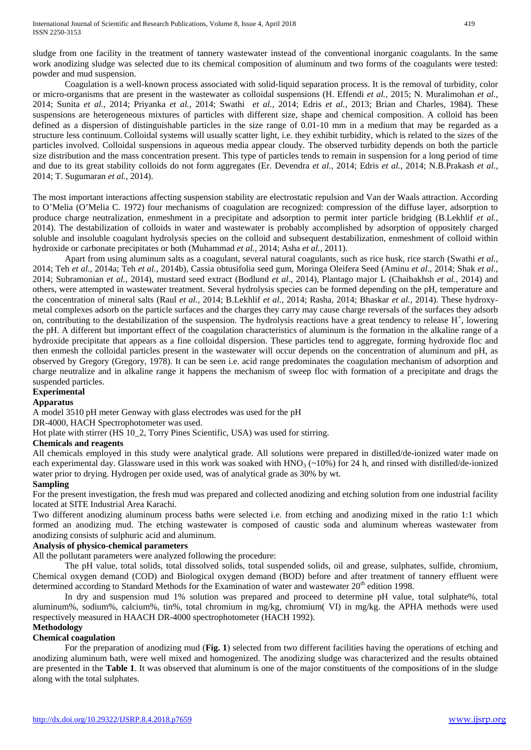sludge from one facility in the treatment of tannery wastewater instead of the conventional inorganic coagulants. In the same work anodizing sludge was selected due to its chemical composition of aluminum and two forms of the coagulants were tested: powder and mud suspension.

Coagulation is a well-known process associated with solid-liquid separation process. It is the removal of turbidity, color or micro-organisms that are present in the wastewater as colloidal suspensions (H. Effendi *et al.,* 2015; N. Muralimohan *et al.,* 2014; Sunita *et al.,* 2014; Priyanka *et al.,* 2014; Swathi *et al.,* 2014; Edris *et al.,* 2013; Brian and Charles, 1984). These suspensions are heterogeneous mixtures of particles with different size, shape and chemical composition. A colloid has been defined as a dispersion of distinguishable particles in the size range of 0.01-10 mm in a medium that may be regarded as a structure less continuum. Colloidal systems will usually scatter light, i.e. they exhibit turbidity, which is related to the sizes of the particles involved. Colloidal suspensions in aqueous media appear cloudy. The observed turbidity depends on both the particle size distribution and the mass concentration present. This type of particles tends to remain in suspension for a long period of time and due to its great stability colloids do not form aggregates (Er. Devendra *et al.,* 2014; Edris *et al.,* 2014; N.B.Prakash *et al.,* 2014; T. Sugumaran *et al.,* 2014).

The most important interactions affecting suspension stability are electrostatic repulsion and Van der Waals attraction. According to O'Melia (O'Melia C. 1972) four mechanisms of coagulation are recognized: compression of the diffuse layer, adsorption to produce charge neutralization, enmeshment in a precipitate and adsorption to permit inter particle bridging (B.Lekhlif *et al.,* 2014). The destabilization of colloids in water and wastewater is probably accomplished by adsorption of oppositely charged soluble and insoluble coagulant hydrolysis species on the colloid and subsequent destabilization, enmeshment of colloid within hydroxide or carbonate precipitates or both (Muhammad *et al.,* 2014; Asha *et al.,* 2011).

Apart from using aluminum salts as a coagulant, several natural coagulants, such as rice husk, rice starch (Swathi *et al.,* 2014; Teh *et al.,* 2014a; Teh *et al.,* 2014b), Cassia obtusifolia seed gum, Moringa Oleifera Seed (Aminu *et al.,* 2014; Shak *et al.,* 2014; Subramonian *et al.,* 2014), mustard seed extract (Bodlund *et al.,* 2014), Plantago major L (Chaibakhsh *et al.,* 2014) and others, were attempted in wastewater treatment. Several hydrolysis species can be formed depending on the pH, temperature and the concentration of mineral salts (Raul *et al.,* 2014; B.Lekhlif *et al.,* 2014; Rasha, 2014; Bhaskar *et al.,* 2014). These hydroxymetal complexes adsorb on the particle surfaces and the charges they carry may cause charge reversals of the surfaces they adsorb on, contributing to the destabilization of the suspension. The hydrolysis reactions have a great tendency to release  $H^+$ , lowering the pH. A different but important effect of the coagulation characteristics of aluminum is the formation in the alkaline range of a hydroxide precipitate that appears as a fine colloidal dispersion. These particles tend to aggregate, forming hydroxide floc and then enmesh the colloidal particles present in the wastewater will occur depends on the concentration of aluminum and pH, as observed by Gregory (Gregory, 1978). It can be seen i.e. acid range predominates the coagulation mechanism of adsorption and charge neutralize and in alkaline range it happens the mechanism of sweep floc with formation of a precipitate and drags the suspended particles.

## **Experimental**

#### **Apparatus**

A model 3510 pH meter Genway with glass electrodes was used for the pH

#### DR-4000, HACH Spectrophotometer was used.

Hot plate with stirrer (HS 10\_2, Torry Pines Scientific, USA) was used for stirring.

#### **Chemicals and reagents**

All chemicals employed in this study were analytical grade. All solutions were prepared in distilled/de-ionized water made on each experimental day. Glassware used in this work was soaked with  $HNO<sub>3</sub> (~10%)$  for 24 h, and rinsed with distilled/de-ionized water prior to drying. Hydrogen per oxide used, was of analytical grade as 30% by wt.

#### **Sampling**

For the present investigation, the fresh mud was prepared and collected anodizing and etching solution from one industrial facility located at SITE Industrial Area Karachi.

Two different anodizing aluminum process baths were selected i.e. from etching and anodizing mixed in the ratio 1:1 which formed an anodizing mud. The etching wastewater is composed of caustic soda and aluminum whereas wastewater from anodizing consists of sulphuric acid and aluminum.

### **Analysis of physico-chemical parameters**

All the pollutant parameters were analyzed following the procedure:

The pH value, total solids, total dissolved solids, total suspended solids, oil and grease, sulphates, sulfide, chromium, Chemical oxygen demand (COD) and Biological oxygen demand (BOD) before and after treatment of tannery effluent were determined according to Standard Methods for the Examination of water and wastewater 20<sup>th</sup> edition 1998.

In dry and suspension mud 1% solution was prepared and proceed to determine pH value, total sulphate%, total aluminum%, sodium%, calcium%, tin%, total chromium in mg/kg, chromium( VI) in mg/kg. the APHA methods were used respectively measured in HAACH DR-4000 spectrophotometer (HACH 1992).

#### **Methodology**

#### **Chemical coagulation**

For the preparation of anodizing mud (**Fig. 1**) selected from two different facilities having the operations of etching and anodizing aluminum bath, were well mixed and homogenized. The anodizing sludge was characterized and the results obtained are presented in the **Table 1**. It was observed that aluminum is one of the major constituents of the compositions of in the sludge along with the total sulphates.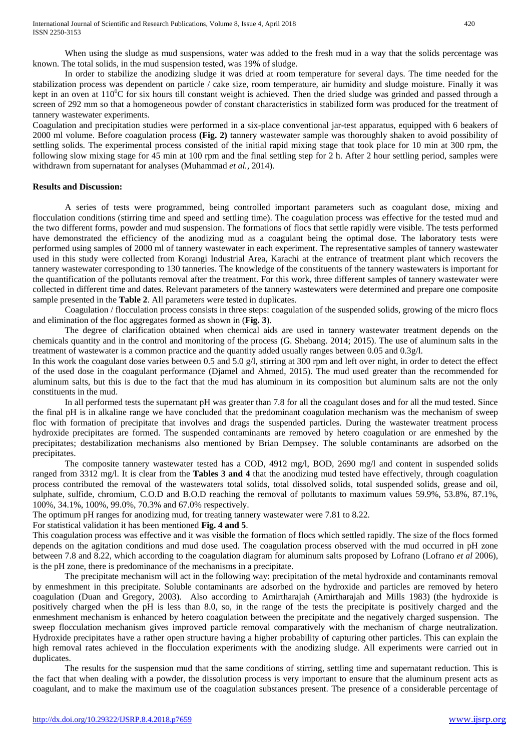When using the sludge as mud suspensions, water was added to the fresh mud in a way that the solids percentage was known. The total solids, in the mud suspension tested, was 19% of sludge.

In order to stabilize the anodizing sludge it was dried at room temperature for several days. The time needed for the stabilization process was dependent on particle / cake size, room temperature, air humidity and sludge moisture. Finally it was kept in an oven at  $110^0C$  for six hours till constant weight is achieved. Then the dried sludge was grinded and passed through a screen of 292 mm so that a homogeneous powder of constant characteristics in stabilized form was produced for the treatment of tannery wastewater experiments.

Coagulation and precipitation studies were performed in a six-place conventional jar-test apparatus, equipped with 6 beakers of 2000 ml volume. Before coagulation process **(Fig. 2)** tannery wastewater sample was thoroughly shaken to avoid possibility of settling solids. The experimental process consisted of the initial rapid mixing stage that took place for 10 min at 300 rpm, the following slow mixing stage for  $\overline{45}$  min at 100 rpm and the final settling step for  $\overline{2}$  h. After 2 hour settling period, samples were withdrawn from supernatant for analyses (Muhammad *et al.,* 2014).

#### **Results and Discussion:**

A series of tests were programmed, being controlled important parameters such as coagulant dose, mixing and flocculation conditions (stirring time and speed and settling time). The coagulation process was effective for the tested mud and the two different forms, powder and mud suspension. The formations of flocs that settle rapidly were visible. The tests performed have demonstrated the efficiency of the anodizing mud as a coagulant being the optimal dose. The laboratory tests were performed using samples of 2000 ml of tannery wastewater in each experiment. The representative samples of tannery wastewater used in this study were collected from Korangi Industrial Area, Karachi at the entrance of treatment plant which recovers the tannery wastewater corresponding to 130 tanneries. The knowledge of the constituents of the tannery wastewaters is important for the quantification of the pollutants removal after the treatment. For this work, three different samples of tannery wastewater were collected in different time and dates. Relevant parameters of the tannery wastewaters were determined and prepare one composite sample presented in the **Table 2**. All parameters were tested in duplicates.

Coagulation / flocculation process consists in three steps: coagulation of the suspended solids, growing of the micro flocs and elimination of the floc aggregates formed as shown in (**Fig. 3**).

The degree of clarification obtained when chemical aids are used in tannery wastewater treatment depends on the chemicals quantity and in the control and monitoring of the process (G. Shebang. 2014; 2015). The use of aluminum salts in the treatment of wastewater is a common practice and the quantity added usually ranges between 0.05 and 0.3g/l*.*

In this work the coagulant dose varies between 0.5 and 5.0 g/l, stirring at 300 rpm and left over night, in order to detect the effect of the used dose in the coagulant performance (Djamel and Ahmed, 2015). The mud used greater than the recommended for aluminum salts, but this is due to the fact that the mud has aluminum in its composition but aluminum salts are not the only constituents in the mud.

In all performed tests the supernatant pH was greater than 7.8 for all the coagulant doses and for all the mud tested. Since the final pH is in alkaline range we have concluded that the predominant coagulation mechanism was the mechanism of sweep floc with formation of precipitate that involves and drags the suspended particles. During the wastewater treatment process hydroxide precipitates are formed. The suspended contaminants are removed by hetero coagulation or are enmeshed by the precipitates; destabilization mechanisms also mentioned by Brian Dempsey. The soluble contaminants are adsorbed on the precipitates.

The composite tannery wastewater tested has a COD, 4912 mg/l, BOD, 2690 mg/l and content in suspended solids ranged from 3312 mg/l. It is clear from the **Tables 3 and 4** that the anodizing mud tested have effectively, through coagulation process contributed the removal of the wastewaters total solids, total dissolved solids, total suspended solids, grease and oil, sulphate, sulfide, chromium, C.O.D and B.O.D reaching the removal of pollutants to maximum values 59.9%, 53.8%, 87.1%, 100%, 34.1%, 100%, 99.0%, 70.3% and 67.0% respectively.

The optimum pH ranges for anodizing mud, for treating tannery wastewater were 7.81 to 8.22.

#### For statistical validation it has been mentioned **Fig. 4 and 5**.

This coagulation process was effective and it was visible the formation of flocs which settled rapidly. The size of the flocs formed depends on the agitation conditions and mud dose used. The coagulation process observed with the mud occurred in pH zone between 7.8 and 8.22, which according to the coagulation diagram for aluminum salts proposed by Lofrano (Lofrano *et al* 2006), is the pH zone, there is predominance of the mechanisms in a precipitate.

The precipitate mechanism will act in the following way: precipitation of the metal hydroxide and contaminants removal by enmeshment in this precipitate. Soluble contaminants are adsorbed on the hydroxide and particles are removed by hetero coagulation (Duan and Gregory, 2003). Also according to Amirtharajah (Amirtharajah and Mills 1983) (the hydroxide is positively charged when the pH is less than 8.0, so, in the range of the tests the precipitate is positively charged and the enmeshment mechanism is enhanced by hetero coagulation between the precipitate and the negatively charged suspension. The sweep flocculation mechanism gives improved particle removal comparatively with the mechanism of charge neutralization. Hydroxide precipitates have a rather open structure having a higher probability of capturing other particles. This can explain the high removal rates achieved in the flocculation experiments with the anodizing sludge. All experiments were carried out in duplicates.

The results for the suspension mud that the same conditions of stirring, settling time and supernatant reduction. This is the fact that when dealing with a powder, the dissolution process is very important to ensure that the aluminum present acts as coagulant, and to make the maximum use of the coagulation substances present. The presence of a considerable percentage of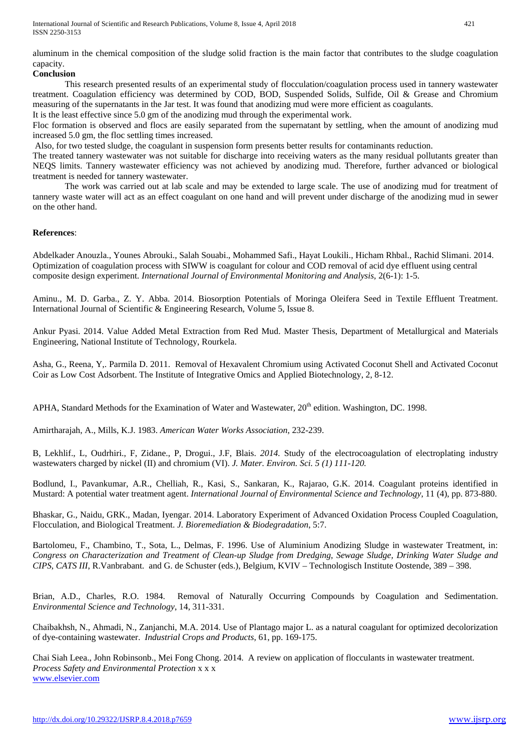International Journal of Scientific and Research Publications, Volume 8, Issue 4, April 2018 421 ISSN 2250-3153

aluminum in the chemical composition of the sludge solid fraction is the main factor that contributes to the sludge coagulation capacity.

#### **Conclusion**

This research presented results of an experimental study of flocculation/coagulation process used in tannery wastewater treatment. Coagulation efficiency was determined by COD, BOD, Suspended Solids, Sulfide, Oil & Grease and Chromium measuring of the supernatants in the Jar test. It was found that anodizing mud were more efficient as coagulants. It is the least effective since 5.0 gm of the anodizing mud through the experimental work.

Floc formation is observed and flocs are easily separated from the supernatant by settling, when the amount of anodizing mud increased 5.0 gm, the floc settling times increased.

Also, for two tested sludge, the coagulant in suspension form presents better results for contaminants reduction.

The treated tannery wastewater was not suitable for discharge into receiving waters as the many residual pollutants greater than NEQS limits. Tannery wastewater efficiency was not achieved by anodizing mud. Therefore, further advanced or biological treatment is needed for tannery wastewater.

The work was carried out at lab scale and may be extended to large scale. The use of anodizing mud for treatment of tannery waste water will act as an effect coagulant on one hand and will prevent under discharge of the anodizing mud in sewer on the other hand.

#### **References**:

Abdelkader Anouzla., Younes Abrouki., Salah Souabi., Mohammed Safi., Hayat Loukili., Hicham Rhbal., Rachid Slimani. 2014. Optimization of coagulation process with SIWW is coagulant for colour and COD removal of acid dye effluent using central composite design experiment. *International Journal of Environmental Monitoring and Analysis,* 2(6-1): 1-5.

Aminu., M. D. Garba., Z. Y. Abba. 2014. Biosorption Potentials of Moringa Oleifera Seed in Textile Effluent Treatment. International Journal of Scientific & Engineering Research, Volume 5, Issue 8.

Ankur Pyasi. 2014. Value Added Metal Extraction from Red Mud. Master Thesis, Department of Metallurgical and Materials Engineering, National Institute of Technology, Rourkela.

Asha, G., Reena, Y,. Parmila D. 2011. Removal of Hexavalent Chromium using Activated Coconut Shell and Activated Coconut Coir as Low Cost Adsorbent. The Institute of Integrative Omics and Applied Biotechnology, 2, 8-12.

APHA, Standard Methods for the Examination of Water and Wastewater,  $20<sup>th</sup>$  edition. Washington, DC. 1998.

Amirtharajah, A., Mills, K.J. 1983. *American Water Works Association*, 232-239.

B, Lekhlif., L, Oudrhiri., F, Zidane., P, Drogui., J.F, Blais. *2014.* Study of the electrocoagulation of electroplating industry wastewaters charged by nickel (II) and chromium (VI). *J. Mater. Environ. Sci. 5 (1) 111-120.*

Bodlund, I., Pavankumar, A.R., Chelliah, R., Kasi, S., Sankaran, K., Rajarao, G.K. 2014. Coagulant proteins identified in Mustard: A potential water treatment agent. *International Journal of Environmental Science and Technology*, 11 (4), pp. 873-880.

Bhaskar, G., Naidu, GRK., Madan, Iyengar. 2014. Laboratory Experiment of Advanced Oxidation Process Coupled Coagulation, Flocculation, and Biological Treatment. *J. Bioremediation & Biodegradation*, 5:7.

Bartolomeu, F., Chambino, T., Sota, L., Delmas, F. 1996. Use of Aluminium Anodizing Sludge in wastewater Treatment, in: *Congress on Characterization and Treatment of Clean-up Sludge from Dredging, Sewage Sludge, Drinking Water Sludge and CIPS, CATS III*, R.Vanbrabant. and G. de Schuster (eds.), Belgium, KVIV – Technologisch Institute Oostende, 389 – 398.

Brian, A.D., Charles, R.O. 1984. Removal of Naturally Occurring Compounds by Coagulation and Sedimentation. *Environmental Science and Technology*, 14, 311-331.

Chaibakhsh, N., Ahmadi, N., Zanjanchi, M.A. 2014. Use of Plantago major L. as a natural coagulant for optimized decolorization of dye-containing wastewater. *Industrial Crops and Products*, 61, pp. 169-175.

Chai Siah Leea., John Robinsonb., Mei Fong Chong. 2014. A review on application of flocculants in wastewater treatment. *Process Safety and Environmental Protection* x x x [www.elsevier.com](http://www.elsevier.com/)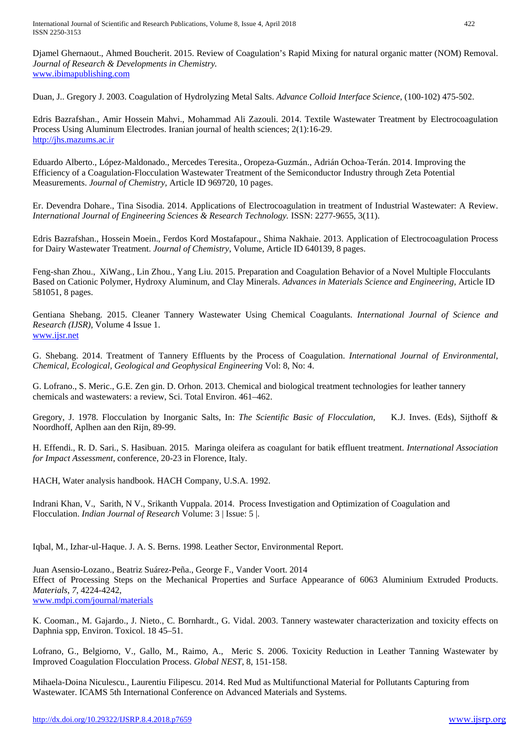Djamel Ghernaout., Ahmed Boucherit. 2015. Review of Coagulation's Rapid Mixing for natural organic matter (NOM) Removal. *Journal of Research & Developments in Chemistry.* [www.ibimapublishing.com](http://www.ibimapublishing.com/)

Duan, J.. Gregory J. 2003. Coagulation of Hydrolyzing Metal Salts. *Advance Colloid Interface Science*, (100-102) 475-502.

Edris Bazrafshan., Amir Hossein Mahvi., Mohammad Ali Zazouli. 2014. Textile Wastewater Treatment by Electrocoagulation Process Using Aluminum Electrodes. Iranian journal of health sciences; 2(1):16-29. [http://jhs.mazums.ac.ir](http://jhs.mazums.ac.ir/)

Eduardo Alberto., López-Maldonado., Mercedes Teresita., Oropeza-Guzmán., Adrián Ochoa-Terán. 2014. Improving the Efficiency of a Coagulation-Flocculation Wastewater Treatment of the Semiconductor Industry through Zeta Potential Measurements. *Journal of Chemistry,* Article ID 969720, 10 pages.

Er. Devendra Dohare., Tina Sisodia. 2014. Applications of Electrocoagulation in treatment of Industrial Wastewater: A Review. *International Journal of Engineering Sciences & Research Technology.* ISSN: 2277-9655, 3(11).

Edris Bazrafshan., Hossein Moein., Ferdos Kord Mostafapour., Shima Nakhaie. 2013. Application of Electrocoagulation Process for Dairy Wastewater Treatment. *Journal of Chemistry*, Volume, Article ID 640139, 8 pages.

Feng-shan Zhou., XiWang., Lin Zhou., Yang Liu. 2015. Preparation and Coagulation Behavior of a Novel Multiple Flocculants Based on Cationic Polymer, Hydroxy Aluminum, and Clay Minerals. *Advances in Materials Science and Engineering,* Article ID 581051, 8 pages.

Gentiana Shebang. 2015. Cleaner Tannery Wastewater Using Chemical Coagulants. *International Journal of Science and Research (IJSR)*, Volume 4 Issue 1. [www.ijsr.net](http://www.ijsr.net/)

G. Shebang. 2014. Treatment of Tannery Effluents by the Process of Coagulation. *International Journal of Environmental, Chemical, Ecological, Geological and Geophysical Engineering* Vol: 8, No: 4.

G. Lofrano., S. Meric., G.E. Zen gin. D. Orhon. 2013. Chemical and biological treatment technologies for leather tannery chemicals and wastewaters: a review, Sci. Total Environ. 461–462.

Gregory, J. 1978. Flocculation by Inorganic Salts, In: *The Scientific Basic of Flocculation*, K.J. Inves. (Eds), Sijthoff & Noordhoff, Aplhen aan den Rijn, 89-99.

H. Effendi., R. D. Sari., S. Hasibuan. 2015. Maringa oleifera as coagulant for batik effluent treatment. *International Association for Impact Assessment*, conference, 20-23 in Florence, Italy.

HACH, Water analysis handbook. HACH Company, U.S.A. 1992.

Indrani Khan, V., Sarith, N V., Srikanth Vuppala. 2014. Process Investigation and Optimization of Coagulation and Flocculation. *Indian Journal of Research* Volume: 3 | Issue: 5 |.

Iqbal, M., Izhar-ul-Haque. J. A. S. Berns. 1998. Leather Sector, Environmental Report.

Juan Asensio-Lozano., Beatriz Suárez-Peña., George F., Vander Voort. 2014 Effect of Processing Steps on the Mechanical Properties and Surface Appearance of 6063 Aluminium Extruded Products. *Materials*, *7*, 4224-4242, [www.mdpi.com/journal/materials](http://www.mdpi.com/journal/materials)

K. Cooman., M. Gajardo., J. Nieto., C. Bornhardt., G. Vidal. 2003. Tannery wastewater characterization and toxicity effects on Daphnia spp, Environ. Toxicol. 18 45–51.

Lofrano, G., Belgiorno, V.*,* Gallo, M., Raimo, A., Meric S. 2006. Toxicity Reduction in Leather Tanning Wastewater by Improved Coagulation Flocculation Process. *Global NEST*, 8, 151-158.

Mihaela-Doina Niculescu., Laurentiu Filipescu. 2014. Red Mud as Multifunctional Material for Pollutants Capturing from Wastewater. ICAMS 5th International Conference on Advanced Materials and Systems.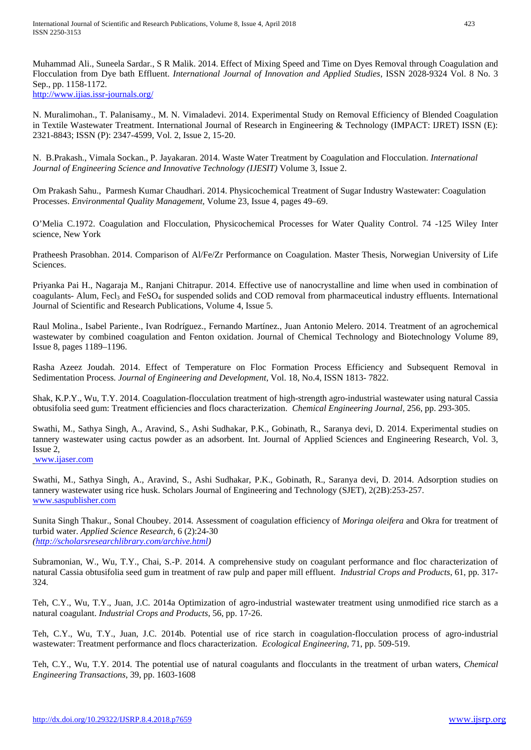Muhammad Ali., Suneela Sardar., S R Malik. 2014. Effect of Mixing Speed and Time on Dyes Removal through Coagulation and Flocculation from Dye bath Effluent. *International Journal of Innovation and Applied Studies*, ISSN 2028-9324 Vol. 8 No. 3 Sep., pp. 1158-1172.

<http://www.ijias.issr-journals.org/>

N. Muralimohan., T. Palanisamy., M. N. Vimaladevi. 2014. Experimental Study on Removal Efficiency of Blended Coagulation in Textile Wastewater Treatment. International Journal of Research in Engineering & Technology (IMPACT: IJRET) ISSN (E): 2321-8843; ISSN (P): 2347-4599, Vol. 2, Issue 2, 15-20.

N. B.Prakash., Vimala Sockan., P. Jayakaran. 2014. Waste Water Treatment by Coagulation and Flocculation. *International Journal of Engineering Science and Innovative Technology (IJESIT)* Volume 3, Issue 2.

Om Prakash Sahu., Parmesh Kumar Chaudhari. 2014. Physicochemical Treatment of Sugar Industry Wastewater: Coagulation Processes. *Environmental Quality Management,* Volume 23, Issue 4, pages 49–69.

O'Melia C.1972. Coagulation and Flocculation, Physicochemical Processes for Water Quality Control. 74 -125 Wiley Inter science, New York

Pratheesh Prasobhan. 2014. Comparison of Al/Fe/Zr Performance on Coagulation. Master Thesis, Norwegian University of Life Sciences.

Priyanka Pai H., Nagaraja M., Ranjani Chitrapur. 2014. Effective use of nanocrystalline and lime when used in combination of coagulants- Alum, Fecl<sub>3</sub> and FeSO<sub>4</sub> for suspended solids and COD removal from pharmaceutical industry effluents. International Journal of Scientific and Research Publications, Volume 4, Issue 5.

Raul Molina., Isabel Pariente., Ivan Rodríguez., Fernando Martínez., Juan Antonio Melero. 2014. Treatment of an agrochemical wastewater by combined coagulation and Fenton oxidation. Journal of Chemical Technology and Biotechnology Volume 89, Issue 8, pages 1189–1196.

Rasha Azeez Joudah. 2014. Effect of Temperature on Floc Formation Process Efficiency and Subsequent Removal in Sedimentation Process. *Journal of Engineering and Development*, Vol. 18, No.4, ISSN 1813- 7822.

Shak, K.P.Y., Wu, T.Y. 2014. Coagulation-flocculation treatment of high-strength agro-industrial wastewater using natural Cassia obtusifolia seed gum: Treatment efficiencies and flocs characterization. *Chemical Engineering Journal,* 256, pp. 293-305.

Swathi, M., Sathya Singh, A., Aravind, S., Ashi Sudhakar, P.K., Gobinath, R., Saranya devi, D. 2014. Experimental studies on tannery wastewater using cactus powder as an adsorbent. Int. Journal of Applied Sciences and Engineering Research, Vol. 3, Issue 2,

[www.ijaser.com](http://www.ijaser.com/)

Swathi, M., Sathya Singh, A., Aravind, S., Ashi Sudhakar, P.K., Gobinath, R., Saranya devi, D. 2014. Adsorption studies on tannery wastewater using rice husk. Scholars Journal of Engineering and Technology (SJET), 2(2B):253-257. [www.saspublisher.com](http://www.saspublisher.com/)

Sunita Singh Thakur., Sonal Choubey. 2014*.* Assessment of coagulation efficiency of *Moringa oleifera* and Okra for treatment of turbid water. *Applied Science Research,* 6 (2):24-30 *[\(http://scholarsresearchlibrary.com/archive.html\)](http://scholarsresearchlibrary.com/archive.html)*

Subramonian, W., Wu, T.Y., Chai, S.-P. 2014. A comprehensive study on coagulant performance and floc characterization of natural Cassia obtusifolia seed gum in treatment of raw pulp and paper mill effluent. *Industrial Crops and Products*, 61, pp. 317- 324.

Teh, C.Y., Wu, T.Y., Juan, J.C. 2014a Optimization of agro-industrial wastewater treatment using unmodified rice starch as a natural coagulant. *Industrial Crops and Products*, 56, pp. 17-26.

Teh, C.Y., Wu, T.Y., Juan, J.C. 2014b. Potential use of rice starch in coagulation-flocculation process of agro-industrial wastewater: Treatment performance and flocs characterization. *Ecological Engineering,* 71, pp. 509-519.

Teh, C.Y., Wu, T.Y. 2014. The potential use of natural coagulants and flocculants in the treatment of urban waters, *Chemical Engineering Transactions*, 39, pp. 1603-1608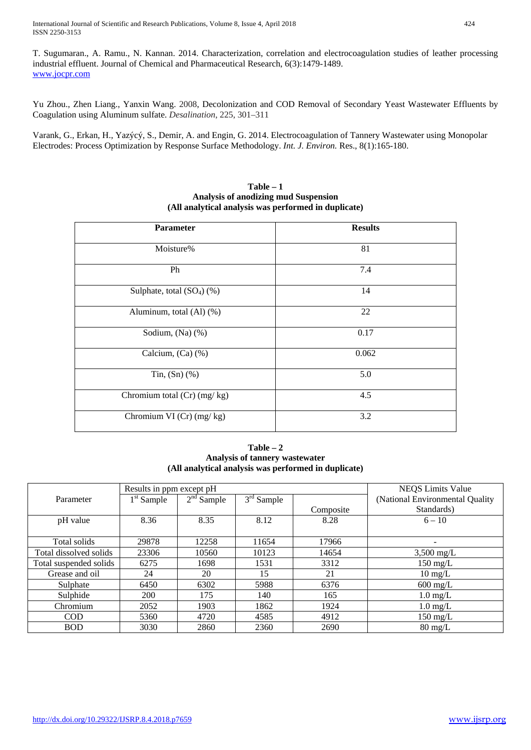T. Sugumaran., A. Ramu., N. Kannan. 2014. Characterization, correlation and electrocoagulation studies of leather processing industrial effluent. Journal of Chemical and Pharmaceutical Research, 6(3):1479-1489. [www.jocpr.com](http://www.jocpr.com/)

Yu Zhou., Zhen Liang., Yanxin Wang. 2008, Decolonization and COD Removal of Secondary Yeast Wastewater Effluents by Coagulation using Aluminum sulfate. *Desalination*, 225, 301–311

Varank, G., Erkan, H., Yazýcý, S., Demir, A. and Engin, G. 2014. Electrocoagulation of Tannery Wastewater using Monopolar Electrodes: Process Optimization by Response Surface Methodology. *Int. J. Environ.* Res., 8(1):165-180.

| <b>Parameter</b>               | <b>Results</b> |
|--------------------------------|----------------|
| Moisture%                      | 81             |
| Ph                             | 7.4            |
| Sulphate, total $(SO4)$ $(\%)$ | 14             |
| Aluminum, total (Al) (%)       | 22             |
| Sodium, (Na) (%)               | 0.17           |
| Calcium, (Ca) (%)              | 0.062          |
| Tin, $(Sn)$ $%$                | 5.0            |
| Chromium total $(Cr)$ (mg/kg)  | 4.5            |
| Chromium VI $(Cr)$ $(mg/kg)$   | 3.2            |

#### **Table – 1 Analysis of anodizing mud Suspension (All analytical analysis was performed in duplicate)**

**Table – 2 Analysis of tannery wastewater (All analytical analysis was performed in duplicate)**

|                        | Results in ppm except pH |              | <b>NEQS</b> Limits Value |           |                                  |  |  |  |  |
|------------------------|--------------------------|--------------|--------------------------|-----------|----------------------------------|--|--|--|--|
| Parameter              | $1st$ Sample             | $2nd$ Sample | $3rd$ Sample             |           | (National Environmental Quality) |  |  |  |  |
|                        |                          |              |                          | Composite | Standards)                       |  |  |  |  |
| pH value               | 8.36                     | 8.35         | 8.12                     | 8.28      | $6 - 10$                         |  |  |  |  |
|                        |                          |              |                          |           |                                  |  |  |  |  |
| Total solids           | 29878                    | 12258        | 11654                    | 17966     | ۰                                |  |  |  |  |
| Total dissolved solids | 23306                    | 10560        | 10123                    | 14654     | $3,500$ mg/L                     |  |  |  |  |
| Total suspended solids | 6275                     | 1698         | 1531                     | 3312      | $150 \text{ mg/L}$               |  |  |  |  |
| Grease and oil         | 24                       | 20           | 15                       | 21        | $10 \text{ mg/L}$                |  |  |  |  |
| Sulphate               | 6450                     | 6302         | 5988                     | 6376      | $600 \text{ mg/L}$               |  |  |  |  |
| Sulphide               | 200                      | 175          | 140                      | 165       | $1.0 \text{ mg/L}$               |  |  |  |  |
| Chromium               | 2052                     | 1903         | 1862                     | 1924      | $1.0 \text{ mg/L}$               |  |  |  |  |
| <b>COD</b>             | 5360                     | 4720         | 4585                     | 4912      | $150 \text{ mg/L}$               |  |  |  |  |
| <b>BOD</b>             | 3030                     | 2860         | 2360                     | 2690      | $80 \text{ mg/L}$                |  |  |  |  |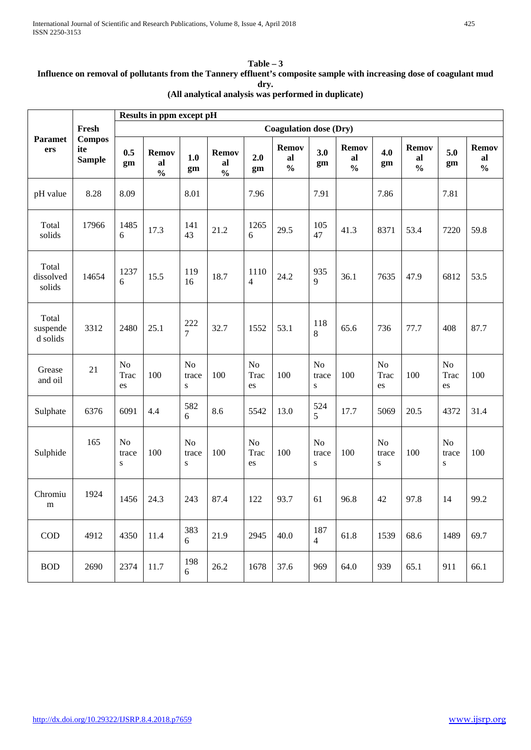#### **Table – 3 Influence on removal of pollutants from the Tannery effluent's composite sample with increasing dose of coagulant mud dry. (All analytical analysis was performed in duplicate)**

|                               |                                                | Results in ppm except pH      |                                     |                                      |                                     |                        |                                     |                                      |                                     |                              |                                     |                          |                                     |
|-------------------------------|------------------------------------------------|-------------------------------|-------------------------------------|--------------------------------------|-------------------------------------|------------------------|-------------------------------------|--------------------------------------|-------------------------------------|------------------------------|-------------------------------------|--------------------------|-------------------------------------|
|                               | Fresh<br><b>Compos</b><br>ite<br><b>Sample</b> | <b>Coagulation dose (Dry)</b> |                                     |                                      |                                     |                        |                                     |                                      |                                     |                              |                                     |                          |                                     |
| <b>Paramet</b><br>ers         |                                                | 0.5<br>gm                     | <b>Remov</b><br>al<br>$\frac{0}{0}$ | 1.0<br>gm                            | <b>Remov</b><br>al<br>$\frac{0}{0}$ | 2.0<br>gm              | <b>Remov</b><br>al<br>$\frac{0}{0}$ | 3.0<br>gm                            | <b>Remov</b><br>al<br>$\frac{0}{0}$ | 4.0<br>gm                    | <b>Remov</b><br>al<br>$\frac{0}{0}$ | 5.0<br>gm                | <b>Remov</b><br>al<br>$\frac{0}{0}$ |
| pH value                      | 8.28                                           | 8.09                          |                                     | 8.01                                 |                                     | 7.96                   |                                     | 7.91                                 |                                     | 7.86                         |                                     | 7.81                     |                                     |
| Total<br>solids               | 17966                                          | 1485<br>6                     | 17.3                                | 141<br>43                            | 21.2                                | 1265<br>6              | 29.5                                | 105<br>47                            | 41.3                                | 8371                         | 53.4                                | 7220                     | 59.8                                |
| Total<br>dissolved<br>solids  | 14654                                          | 1237<br>6                     | 15.5                                | 119<br>16                            | 18.7                                | 1110<br>$\overline{4}$ | 24.2                                | 935<br>9                             | 36.1                                | 7635                         | 47.9                                | 6812                     | 53.5                                |
| Total<br>suspende<br>d solids | 3312                                           | 2480                          | 25.1                                | 222<br>$\overline{7}$                | 32.7                                | 1552                   | 53.1                                | 118<br>8                             | 65.6                                | 736                          | 77.7                                | 408                      | 87.7                                |
| Grease<br>and oil             | 21                                             | N <sub>o</sub><br>Trac<br>es  | 100                                 | N <sub>o</sub><br>trace<br>${\bf S}$ | 100                                 | No<br>Trac<br>es       | 100                                 | N <sub>o</sub><br>trace<br>${\bf S}$ | 100                                 | N <sub>o</sub><br>Trac<br>es | 100                                 | No<br>Trac<br>es         | 100                                 |
| Sulphate                      | 6376                                           | 6091                          | 4.4                                 | 582<br>$6\,$                         | 8.6                                 | 5542                   | 13.0                                | 524<br>5                             | 17.7                                | 5069                         | 20.5                                | 4372                     | 31.4                                |
| Sulphide                      | 165                                            | N <sub>o</sub><br>trace<br>S  | 100                                 | No<br>trace<br>S                     | 100                                 | No<br>Trac<br>es       | 100                                 | N <sub>o</sub><br>trace<br>${\bf S}$ | 100                                 | No<br>trace<br>${\bf S}$     | 100                                 | No<br>trace<br>${\bf S}$ | 100                                 |
| Chromiu<br>m                  | 1924                                           | 1456                          | 24.3                                | 243                                  | 87.4                                | 122                    | 93.7                                | 61                                   | 96.8                                | 42                           | 97.8                                | 14                       | 99.2                                |
| $\rm{COD}$                    | 4912                                           | 4350                          | 11.4                                | 383<br>6                             | 21.9                                | 2945                   | 40.0                                | 187<br>$\overline{4}$                | 61.8                                | 1539                         | 68.6                                | 1489                     | 69.7                                |
| <b>BOD</b>                    | 2690                                           | 2374                          | 11.7                                | 198<br>6                             | 26.2                                | 1678                   | 37.6                                | 969                                  | 64.0                                | 939                          | 65.1                                | 911                      | 66.1                                |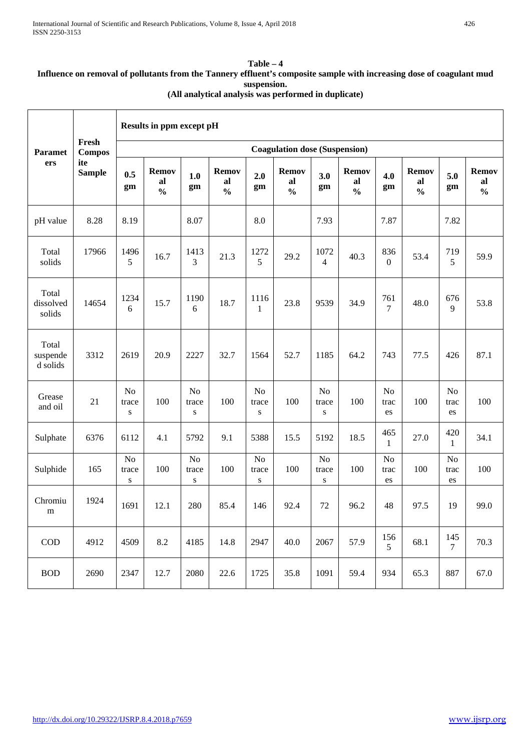#### **Table – 4 Influence on removal of pollutants from the Tannery effluent's composite sample with increasing dose of coagulant mud suspension. (All analytical analysis was performed in duplicate)**

|                               | Fresh<br><b>Compos</b><br>ite<br><b>Sample</b> | Results in ppm except pH             |                                     |                                      |                                     |                                      |                                     |                                      |                                     |                              |                                     |                              |                                     |
|-------------------------------|------------------------------------------------|--------------------------------------|-------------------------------------|--------------------------------------|-------------------------------------|--------------------------------------|-------------------------------------|--------------------------------------|-------------------------------------|------------------------------|-------------------------------------|------------------------------|-------------------------------------|
| <b>Paramet</b><br>ers         |                                                | <b>Coagulation dose (Suspension)</b> |                                     |                                      |                                     |                                      |                                     |                                      |                                     |                              |                                     |                              |                                     |
|                               |                                                | 0.5<br>gm                            | <b>Remov</b><br>al<br>$\frac{0}{0}$ | 1.0<br>gm                            | <b>Remov</b><br>al<br>$\frac{0}{0}$ | 2.0<br>gm                            | <b>Remov</b><br>al<br>$\frac{0}{0}$ | 3.0<br>gm                            | <b>Remov</b><br>al<br>$\frac{0}{0}$ | 4.0<br>gm                    | <b>Remov</b><br>al<br>$\frac{0}{0}$ | 5.0<br>gm                    | <b>Remov</b><br>al<br>$\frac{0}{0}$ |
| pH value                      | 8.28                                           | 8.19                                 |                                     | 8.07                                 |                                     | 8.0                                  |                                     | 7.93                                 |                                     | 7.87                         |                                     | 7.82                         |                                     |
| Total<br>solids               | 17966                                          | 1496<br>5                            | 16.7                                | 1413<br>3                            | 21.3                                | 1272<br>5                            | 29.2                                | 1072<br>4                            | 40.3                                | 836<br>$\boldsymbol{0}$      | 53.4                                | 719<br>5                     | 59.9                                |
| Total<br>dissolved<br>solids  | 14654                                          | 1234<br>6                            | 15.7                                | 1190<br>6                            | 18.7                                | 1116<br>1                            | 23.8                                | 9539                                 | 34.9                                | 761<br>7                     | 48.0                                | 676<br>9                     | 53.8                                |
| Total<br>suspende<br>d solids | 3312                                           | 2619                                 | 20.9                                | 2227                                 | 32.7                                | 1564                                 | 52.7                                | 1185                                 | 64.2                                | 743                          | 77.5                                | 426                          | 87.1                                |
| Grease<br>and oil             | 21                                             | N <sub>o</sub><br>trace<br>${\bf S}$ | 100                                 | N <sub>o</sub><br>trace<br>${\bf S}$ | 100                                 | N <sub>o</sub><br>trace<br>${\bf S}$ | 100                                 | N <sub>o</sub><br>trace<br>S         | 100                                 | N <sub>o</sub><br>trac<br>es | 100                                 | No<br>trac<br>es             | 100                                 |
| Sulphate                      | 6376                                           | 6112                                 | 4.1                                 | 5792                                 | 9.1                                 | 5388                                 | 15.5                                | 5192                                 | 18.5                                | 465<br>$\mathbf{1}$          | 27.0                                | 420<br>$\mathbf{1}$          | 34.1                                |
| Sulphide                      | 165                                            | N <sub>o</sub><br>trace<br>${\bf S}$ | 100                                 | N <sub>o</sub><br>trace<br>${\bf S}$ | 100                                 | N <sub>o</sub><br>trace<br>${\bf S}$ | 100                                 | N <sub>o</sub><br>trace<br>${\bf S}$ | 100                                 | N <sub>o</sub><br>trac<br>es | 100                                 | N <sub>o</sub><br>trac<br>es | 100                                 |
| Chromiu<br>m                  | 1924                                           | 1691                                 | 12.1                                | 280                                  | 85.4                                | 146                                  | 92.4                                | 72                                   | 96.2                                | 48                           | 97.5                                | 19                           | 99.0                                |
| $\rm COD$                     | 4912                                           | 4509                                 | 8.2                                 | 4185                                 | 14.8                                | 2947                                 | 40.0                                | 2067                                 | 57.9                                | 156<br>5 <sup>5</sup>        | 68.1                                | 145<br>$7\overline{ }$       | 70.3                                |
| <b>BOD</b>                    | 2690                                           | 2347                                 | 12.7                                | 2080                                 | 22.6                                | 1725                                 | 35.8                                | 1091                                 | 59.4                                | 934                          | 65.3                                | 887                          | 67.0                                |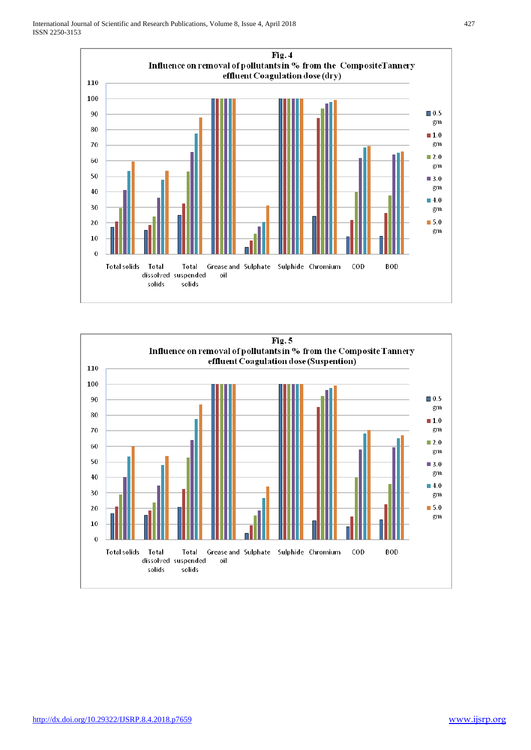

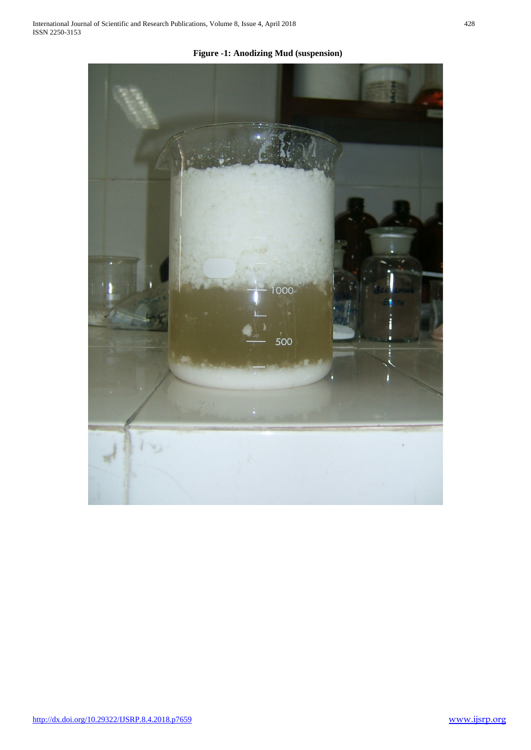1000 500

**Figure -1: Anodizing Mud (suspension)**